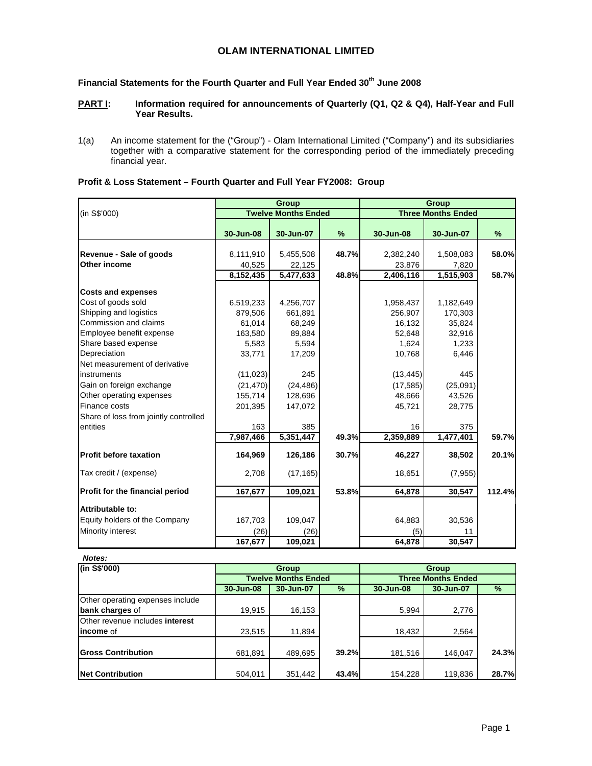## **OLAM INTERNATIONAL LIMITED**

# Financial Statements for the Fourth Quarter and Full Year Ended 30<sup>th</sup> June 2008

## **PART I:** Information required for announcements of Quarterly (Q1, Q2 & Q4), Half-Year and Full **Year Results.**

1(a) An income statement for the ("Group") - Olam International Limited ("Company") and its subsidiaries together with a comparative statement for the corresponding period of the immediately preceding financial year.

|                                         |                     | <b>Group</b>               |       |                     | <b>Group</b>              |        |
|-----------------------------------------|---------------------|----------------------------|-------|---------------------|---------------------------|--------|
| (in S\$'000)                            |                     | <b>Twelve Months Ended</b> |       |                     | <b>Three Months Ended</b> |        |
|                                         | 30-Jun-08           | 30-Jun-07                  | %     | 30-Jun-08           | 30-Jun-07                 | %      |
|                                         |                     |                            |       |                     |                           | 58.0%  |
| Revenue - Sale of goods<br>Other income | 8,111,910           | 5,455,508                  | 48.7% | 2,382,240           | 1,508,083                 |        |
|                                         | 40,525<br>8,152,435 | 22,125<br>5,477,633        | 48.8% | 23,876<br>2,406,116 | 7,820<br>1,515,903        | 58.7%  |
|                                         |                     |                            |       |                     |                           |        |
| <b>Costs and expenses</b>               |                     |                            |       |                     |                           |        |
| Cost of goods sold                      | 6,519,233           | 4,256,707                  |       | 1,958,437           | 1,182,649                 |        |
| Shipping and logistics                  | 879,506             | 661,891                    |       | 256,907             | 170,303                   |        |
| Commission and claims                   | 61,014              | 68,249                     |       | 16,132              | 35,824                    |        |
| Employee benefit expense                | 163,580             | 89,884                     |       | 52,648              | 32,916                    |        |
| Share based expense                     | 5,583               | 5,594                      |       | 1,624               | 1,233                     |        |
| Depreciation                            | 33,771              | 17,209                     |       | 10,768              | 6,446                     |        |
| Net measurement of derivative           |                     |                            |       |                     |                           |        |
| instruments                             | (11, 023)           | 245                        |       | (13, 445)           | 445                       |        |
| Gain on foreign exchange                | (21, 470)           | (24, 486)                  |       | (17, 585)           | (25,091)                  |        |
| Other operating expenses                | 155,714             | 128,696                    |       | 48,666              | 43,526                    |        |
| Finance costs                           | 201,395             | 147,072                    |       | 45,721              | 28,775                    |        |
| Share of loss from jointly controlled   |                     |                            |       |                     |                           |        |
| entities                                | 163                 | 385                        |       | 16                  | 375                       |        |
|                                         | 7,987,466           | 5,351,447                  | 49.3% | 2,359,889           | 1,477,401                 | 59.7%  |
| <b>Profit before taxation</b>           | 164,969             | 126,186                    | 30.7% | 46,227              | 38,502                    | 20.1%  |
| Tax credit / (expense)                  | 2,708               | (17, 165)                  |       | 18,651              | (7, 955)                  |        |
| Profit for the financial period         | 167,677             | 109,021                    | 53.8% | 64,878              | 30,547                    | 112.4% |
| <b>Attributable to:</b>                 |                     |                            |       |                     |                           |        |
| Equity holders of the Company           | 167,703             | 109,047                    |       | 64,883              | 30,536                    |        |
| Minority interest                       | (26)                | (26)                       |       | (5)                 | 11                        |        |
|                                         | 167,677             | 109,021                    |       | 64,878              | 30,547                    |        |

## **Profit & Loss Statement – Fourth Quarter and Full Year FY2008: Group**

| Notes:                           |           |                            |               |                           |           |       |  |  |
|----------------------------------|-----------|----------------------------|---------------|---------------------------|-----------|-------|--|--|
| (in S\$'000)                     |           | <b>Group</b>               |               |                           |           |       |  |  |
|                                  |           | <b>Twelve Months Ended</b> |               | <b>Three Months Ended</b> |           |       |  |  |
|                                  | 30-Jun-08 | 30-Jun-07                  | $\frac{9}{6}$ | 30-Jun-08                 | 30-Jun-07 | %     |  |  |
| Other operating expenses include |           |                            |               |                           |           |       |  |  |
| bank charges of                  | 19,915    | 16,153                     |               | 5,994                     | 2,776     |       |  |  |
| Other revenue includes interest  |           |                            |               |                           |           |       |  |  |
| lincome of                       | 23,515    | 11,894                     |               | 18,432                    | 2,564     |       |  |  |
| <b>Gross Contribution</b>        | 681,891   | 489,695                    | <b>39.2%</b>  | 181,516                   | 146.047   | 24.3% |  |  |
| <b>INet Contribution</b>         | 504.011   | 351,442                    | 43.4%         | 154.228                   | 119,836   | 28.7% |  |  |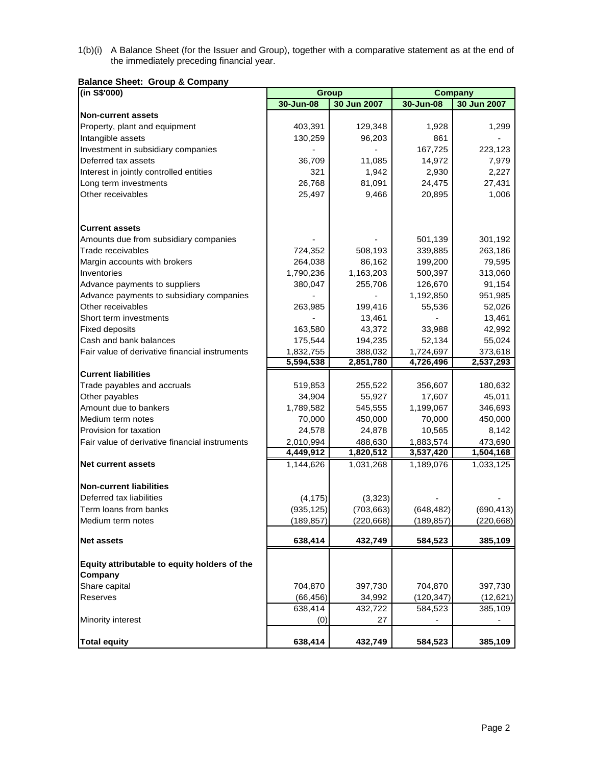1(b)(i) A Balance Sheet (for the Issuer and Group), together with a comparative statement as at the end of the immediately preceding financial year.

**Balance Sheet: Group & Company** 

| (in S\$'000)                                   |            | <b>Group</b> | <b>Company</b> |             |  |  |
|------------------------------------------------|------------|--------------|----------------|-------------|--|--|
|                                                | 30-Jun-08  | 30 Jun 2007  | 30-Jun-08      | 30 Jun 2007 |  |  |
| <b>Non-current assets</b>                      |            |              |                |             |  |  |
| Property, plant and equipment                  | 403,391    | 129,348      | 1,928          | 1,299       |  |  |
| Intangible assets                              | 130,259    | 96,203       | 861            |             |  |  |
| Investment in subsidiary companies             |            |              | 167,725        | 223,123     |  |  |
| Deferred tax assets                            | 36,709     | 11,085       | 14,972         | 7,979       |  |  |
| Interest in jointly controlled entities        | 321        | 1,942        | 2,930          | 2,227       |  |  |
| Long term investments                          | 26,768     | 81,091       | 24,475         | 27,431      |  |  |
| Other receivables                              | 25,497     | 9,466        | 20,895         | 1,006       |  |  |
|                                                |            |              |                |             |  |  |
|                                                |            |              |                |             |  |  |
| <b>Current assets</b>                          |            |              |                |             |  |  |
| Amounts due from subsidiary companies          |            |              | 501,139        | 301,192     |  |  |
| Trade receivables                              | 724,352    | 508,193      | 339,885        | 263,186     |  |  |
| Margin accounts with brokers                   | 264,038    | 86,162       | 199,200        | 79,595      |  |  |
| Inventories                                    | 1,790,236  | 1,163,203    | 500,397        | 313,060     |  |  |
| Advance payments to suppliers                  | 380,047    | 255,706      | 126,670        | 91,154      |  |  |
| Advance payments to subsidiary companies       |            |              | 1,192,850      | 951,985     |  |  |
| Other receivables                              | 263,985    | 199,416      | 55,536         | 52,026      |  |  |
| Short term investments                         |            | 13,461       |                | 13,461      |  |  |
| <b>Fixed deposits</b>                          | 163,580    | 43,372       | 33,988         | 42,992      |  |  |
| Cash and bank balances                         | 175,544    | 194,235      | 52,134         | 55,024      |  |  |
| Fair value of derivative financial instruments | 1,832,755  | 388,032      | 1,724,697      | 373,618     |  |  |
|                                                | 5,594,538  | 2,851,780    | 4,726,496      | 2,537,293   |  |  |
| <b>Current liabilities</b>                     |            |              |                |             |  |  |
| Trade payables and accruals                    | 519,853    | 255,522      | 356,607        | 180,632     |  |  |
| Other payables                                 | 34,904     | 55,927       | 17,607         | 45,011      |  |  |
| Amount due to bankers                          | 1,789,582  | 545,555      | 1,199,067      | 346,693     |  |  |
| Medium term notes                              | 70,000     | 450,000      | 70,000         | 450,000     |  |  |
| Provision for taxation                         | 24,578     | 24,878       | 10,565         | 8,142       |  |  |
| Fair value of derivative financial instruments | 2,010,994  | 488,630      | 1,883,574      | 473,690     |  |  |
|                                                | 4,449,912  | 1,820,512    | 3,537,420      | 1,504,168   |  |  |
| <b>Net current assets</b>                      | 1,144,626  | 1,031,268    | 1,189,076      | 1,033,125   |  |  |
|                                                |            |              |                |             |  |  |
| <b>Non-current liabilities</b>                 |            |              |                |             |  |  |
| Deferred tax liabilities                       | (4, 175)   | (3,323)      |                |             |  |  |
| Term loans from banks                          | (935, 125) | (703, 663)   | (648, 482)     | (690, 413)  |  |  |
| Medium term notes                              | (189,857)  | (220, 668)   | (189,857)      | (220, 668)  |  |  |
|                                                |            |              |                |             |  |  |
| <b>Net assets</b>                              | 638,414    | 432,749      | 584,523        | 385,109     |  |  |
| Equity attributable to equity holders of the   |            |              |                |             |  |  |
| Company                                        |            |              |                |             |  |  |
| Share capital                                  | 704,870    | 397,730      | 704,870        | 397,730     |  |  |
| Reserves                                       | (66, 456)  | 34,992       | (120, 347)     | (12,621)    |  |  |
|                                                | 638,414    | 432,722      | 584,523        | 385,109     |  |  |
| Minority interest                              | (0)        | 27           |                |             |  |  |
| <b>Total equity</b>                            | 638,414    | 432,749      | 584,523        | 385,109     |  |  |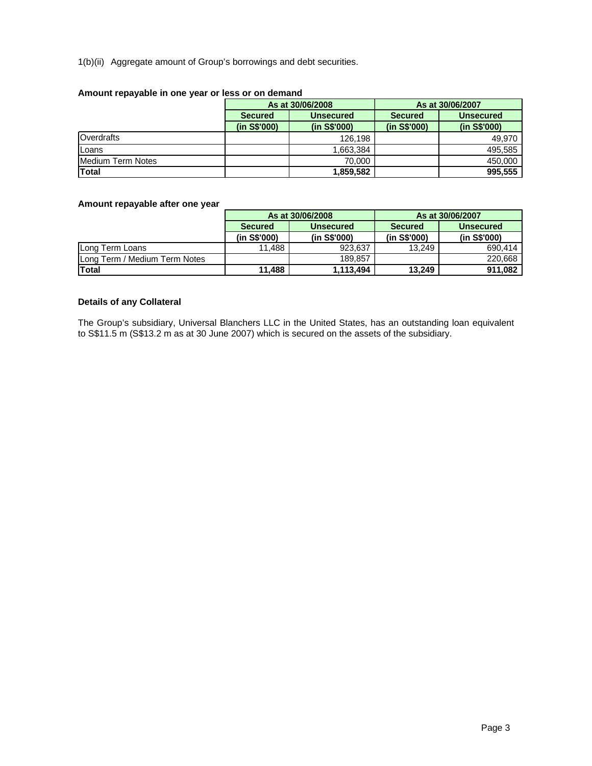## 1(b)(ii) Aggregate amount of Group's borrowings and debt securities.

| $1.000$ and $1.000$ and $1.000$ and $1.000$ and $1.000$ and $1.000$ and $1.000$ |                |                  |                  |                  |  |  |  |  |  |  |  |
|---------------------------------------------------------------------------------|----------------|------------------|------------------|------------------|--|--|--|--|--|--|--|
|                                                                                 |                | As at 30/06/2008 | As at 30/06/2007 |                  |  |  |  |  |  |  |  |
|                                                                                 | <b>Secured</b> | <b>Unsecured</b> | <b>Secured</b>   | <b>Unsecured</b> |  |  |  |  |  |  |  |
|                                                                                 | (in S\$'000)   | (in S\$'000)     | (in S\$'000)     | (in S\$'000)     |  |  |  |  |  |  |  |
| Overdrafts                                                                      |                | 126.198          |                  | 49,970           |  |  |  |  |  |  |  |
| Loans                                                                           |                | 1,663,384        |                  | 495,585          |  |  |  |  |  |  |  |
| Medium Term Notes                                                               |                | 70.000           |                  | 450,000          |  |  |  |  |  |  |  |
| <b>Total</b>                                                                    |                | 1,859,582        |                  | 995.555          |  |  |  |  |  |  |  |

## **Amount repayable in one year or less or on demand**

## **Amount repayable after one year**

|                               |                | As at 30/06/2008 | As at 30/06/2007 |                  |  |  |
|-------------------------------|----------------|------------------|------------------|------------------|--|--|
|                               | <b>Secured</b> | <b>Unsecured</b> | <b>Secured</b>   | <b>Unsecured</b> |  |  |
|                               | (in S\$'000)   | (in S\$'000)     | (in S\$'000)     | (in S\$'000)     |  |  |
| ILong Term Loans              | 11.488         | 923.637          | 13.249           | 690.414          |  |  |
| Long Term / Medium Term Notes |                | 189.857          |                  | 220,668          |  |  |
| Total                         | 11,488         | 1,113,494        | 13,249           | 911,082          |  |  |

## **Details of any Collateral**

The Group's subsidiary, Universal Blanchers LLC in the United States, has an outstanding loan equivalent to S\$11.5 m (S\$13.2 m as at 30 June 2007) which is secured on the assets of the subsidiary.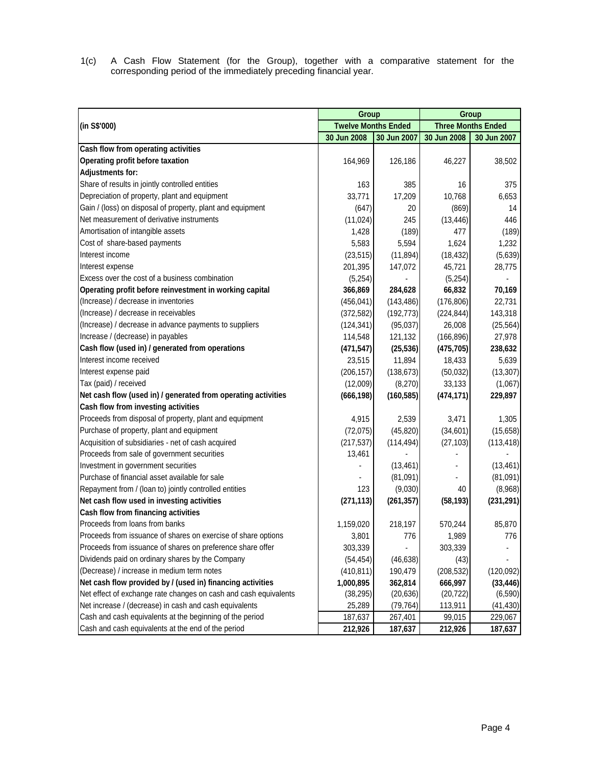1(c) A Cash Flow Statement (for the Group), together with a comparative statement for the corresponding period of the immediately preceding financial year.

|                                                                  | Group                      |             | Group       |                           |  |
|------------------------------------------------------------------|----------------------------|-------------|-------------|---------------------------|--|
| (in S\$'000)                                                     | <b>Twelve Months Ended</b> |             |             | <b>Three Months Ended</b> |  |
|                                                                  | 30 Jun 2008                | 30 Jun 2007 | 30 Jun 2008 | 30 Jun 2007               |  |
| Cash flow from operating activities                              |                            |             |             |                           |  |
| Operating profit before taxation                                 | 164,969                    | 126,186     | 46,227      | 38,502                    |  |
| <b>Adjustments for:</b>                                          |                            |             |             |                           |  |
| Share of results in jointly controlled entities                  | 163                        | 385         | 16          | 375                       |  |
| Depreciation of property, plant and equipment                    | 33,771                     | 17,209      | 10,768      | 6,653                     |  |
| Gain / (loss) on disposal of property, plant and equipment       | (647)                      | 20          | (869)       | 14                        |  |
| Net measurement of derivative instruments                        | (11, 024)                  | 245         | (13, 446)   | 446                       |  |
| Amortisation of intangible assets                                | 1,428                      | (189)       | 477         | (189)                     |  |
| Cost of share-based payments                                     | 5,583                      | 5,594       | 1,624       | 1,232                     |  |
| Interest income                                                  | (23, 515)                  | (11, 894)   | (18, 432)   | (5,639)                   |  |
| Interest expense                                                 | 201,395                    | 147,072     | 45,721      | 28,775                    |  |
| Excess over the cost of a business combination                   | (5,254)                    |             | (5,254)     |                           |  |
| Operating profit before reinvestment in working capital          | 366,869                    | 284,628     | 66,832      | 70,169                    |  |
| (Increase) / decrease in inventories                             | (456, 041)                 | (143, 486)  | (176, 806)  | 22,731                    |  |
| (Increase) / decrease in receivables                             | (372, 582)                 | (192, 773)  | (224, 844)  | 143,318                   |  |
| (Increase) / decrease in advance payments to suppliers           | (124, 341)                 | (95,037)    | 26,008      | (25, 564)                 |  |
| Increase / (decrease) in payables                                | 114,548                    | 121,132     | (166, 896)  | 27,978                    |  |
| Cash flow (used in) / generated from operations                  | (471, 547)                 | (25, 536)   | (475, 705)  | 238,632                   |  |
| Interest income received                                         | 23,515                     | 11,894      | 18,433      | 5,639                     |  |
| Interest expense paid                                            | (206, 157)                 | (138, 673)  | (50,032)    | (13, 307)                 |  |
| Tax (paid) / received                                            | (12,009)                   | (8,270)     | 33,133      | (1,067)                   |  |
| Net cash flow (used in) / generated from operating activities    | (666, 198)                 | (160, 585)  | (474, 171)  | 229,897                   |  |
| Cash flow from investing activities                              |                            |             |             |                           |  |
| Proceeds from disposal of property, plant and equipment          | 4,915                      | 2,539       | 3,471       | 1,305                     |  |
| Purchase of property, plant and equipment                        | (72,075)                   | (45, 820)   | (34,601)    | (15,658)                  |  |
| Acquisition of subsidiaries - net of cash acquired               | (217, 537)                 | (114, 494)  | (27, 103)   | (113, 418)                |  |
| Proceeds from sale of government securities                      | 13,461                     |             |             |                           |  |
| Investment in government securities                              |                            | (13, 461)   |             | (13, 461)                 |  |
| Purchase of financial asset available for sale                   |                            | (81,091)    |             | (81,091)                  |  |
| Repayment from / (loan to) jointly controlled entities           | 123                        | (9,030)     | 40          | (8,968)                   |  |
| Net cash flow used in investing activities                       | (271, 113)                 | (261, 357)  | (58, 193)   | (231, 291)                |  |
| Cash flow from financing activities                              |                            |             |             |                           |  |
| Proceeds from loans from banks                                   | 1,159,020                  | 218,197     | 570,244     | 85,870                    |  |
| Proceeds from issuance of shares on exercise of share options    | 3,801                      | 776         | 1,989       | 776                       |  |
| Proceeds from issuance of shares on preference share offer       | 303,339                    |             | 303,339     |                           |  |
| Dividends paid on ordinary shares by the Company                 | (54, 454)                  | (46, 638)   | (43)        |                           |  |
| (Decrease) / increase in medium term notes                       | (410, 811)                 | 190,479     | (208, 532)  | (120, 092)                |  |
| Net cash flow provided by / (used in) financing activities       | 1,000,895                  | 362,814     | 666,997     | (33, 446)                 |  |
| Net effect of exchange rate changes on cash and cash equivalents | (38, 295)                  | (20, 636)   | (20, 722)   | (6, 590)                  |  |
| Net increase / (decrease) in cash and cash equivalents           | 25,289                     | (79, 764)   | 113,911     | (41, 430)                 |  |
| Cash and cash equivalents at the beginning of the period         | 187,637                    | 267,401     | 99,015      | 229,067                   |  |
| Cash and cash equivalents at the end of the period               | 212,926                    | 187,637     | 212,926     | 187,637                   |  |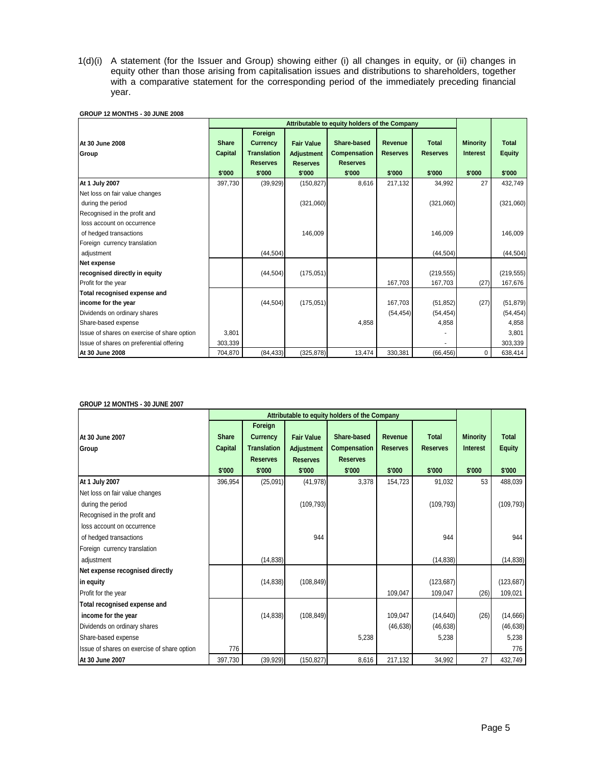1(d)(i) A statement (for the Issuer and Group) showing either (i) all changes in equity, or (ii) changes in equity other than those arising from capitalisation issues and distributions to shareholders, together with a comparative statement for the corresponding period of the immediately preceding financial year.

|                                             | Attributable to equity holders of the Company |                    |                   |                     |                 |                 |                 |               |
|---------------------------------------------|-----------------------------------------------|--------------------|-------------------|---------------------|-----------------|-----------------|-----------------|---------------|
|                                             |                                               | Foreign            |                   |                     |                 |                 |                 |               |
| At 30 June 2008                             | <b>Share</b>                                  | <b>Currency</b>    | <b>Fair Value</b> | Share-based         | Revenue         | <b>Total</b>    | <b>Minority</b> | <b>Total</b>  |
| Group                                       | Capital                                       | <b>Translation</b> | <b>Adjustment</b> | <b>Compensation</b> | <b>Reserves</b> | <b>Reserves</b> | <b>Interest</b> | <b>Equity</b> |
|                                             |                                               | <b>Reserves</b>    | <b>Reserves</b>   | <b>Reserves</b>     |                 |                 |                 |               |
|                                             | \$'000                                        | \$'000             | \$'000            | \$'000              | \$'000          | \$'000          | \$'000          | \$'000        |
| At 1 July 2007                              | 397,730                                       | (39, 929)          | (150, 827)        | 8,616               | 217,132         | 34,992          | 27              | 432,749       |
| Net loss on fair value changes              |                                               |                    |                   |                     |                 |                 |                 |               |
| during the period                           |                                               |                    | (321,060)         |                     |                 | (321,060)       |                 | (321,060)     |
| Recognised in the profit and                |                                               |                    |                   |                     |                 |                 |                 |               |
| loss account on occurrence                  |                                               |                    |                   |                     |                 |                 |                 |               |
| of hedged transactions                      |                                               |                    | 146,009           |                     |                 | 146,009         |                 | 146,009       |
| Foreign currency translation                |                                               |                    |                   |                     |                 |                 |                 |               |
| adjustment                                  |                                               | (44, 504)          |                   |                     |                 | (44, 504)       |                 | (44, 504)     |
| <b>Net expense</b>                          |                                               |                    |                   |                     |                 |                 |                 |               |
| recognised directly in equity               |                                               | (44, 504)          | (175, 051)        |                     |                 | (219, 555)      |                 | (219, 555)    |
| Profit for the year                         |                                               |                    |                   |                     | 167,703         | 167,703         | (27)            | 167,676       |
| Total recognised expense and                |                                               |                    |                   |                     |                 |                 |                 |               |
| income for the year                         |                                               | (44, 504)          | (175,051)         |                     | 167,703         | (51, 852)       | (27)            | (51, 879)     |
| Dividends on ordinary shares                |                                               |                    |                   |                     | (54, 454)       | (54, 454)       |                 | (54, 454)     |
| Share-based expense                         |                                               |                    |                   | 4,858               |                 | 4,858           |                 | 4,858         |
| Issue of shares on exercise of share option | 3,801                                         |                    |                   |                     |                 |                 |                 | 3,801         |
| Issue of shares on preferential offering    | 303,339                                       |                    |                   |                     |                 |                 |                 | 303,339       |
| At 30 June 2008                             | 704,870                                       | (84, 433)          | (325, 878)        | 13,474              | 330,381         | (66, 456)       | 0               | 638,414       |

#### **GROUP 12 MONTHS - 30 JUNE 2008**

## **GROUP 12 MONTHS - 30 JUNE 2007**

|                                             |              | Attributable to equity holders of the Company |                   |                     |                 |                 |                 |               |
|---------------------------------------------|--------------|-----------------------------------------------|-------------------|---------------------|-----------------|-----------------|-----------------|---------------|
| At 30 June 2007                             | <b>Share</b> | Foreign<br><b>Currency</b>                    | <b>Fair Value</b> | Share-based         | Revenue         | <b>Total</b>    | <b>Minority</b> | <b>Total</b>  |
| Group                                       | Capital      | <b>Translation</b>                            | Adjustment        | <b>Compensation</b> | <b>Reserves</b> | <b>Reserves</b> | <b>Interest</b> | <b>Equity</b> |
|                                             |              | <b>Reserves</b>                               | <b>Reserves</b>   | <b>Reserves</b>     |                 |                 |                 |               |
|                                             | \$'000       | \$'000                                        | \$'000            | \$'000              | \$'000          | \$'000          | \$'000          | \$'000        |
| At 1 July 2007                              | 396,954      | (25,091)                                      | (41, 978)         | 3,378               | 154,723         | 91,032          | 53              | 488,039       |
| Net loss on fair value changes              |              |                                               |                   |                     |                 |                 |                 |               |
| during the period                           |              |                                               | (109, 793)        |                     |                 | (109, 793)      |                 | (109, 793)    |
| Recognised in the profit and                |              |                                               |                   |                     |                 |                 |                 |               |
| loss account on occurrence                  |              |                                               |                   |                     |                 |                 |                 |               |
| of hedged transactions                      |              |                                               | 944               |                     |                 | 944             |                 | 944           |
| Foreign currency translation                |              |                                               |                   |                     |                 |                 |                 |               |
| adjustment                                  |              | (14, 838)                                     |                   |                     |                 | (14, 838)       |                 | (14, 838)     |
| Net expense recognised directly             |              |                                               |                   |                     |                 |                 |                 |               |
| in equity                                   |              | (14, 838)                                     | (108, 849)        |                     |                 | (123, 687)      |                 | (123, 687)    |
| Profit for the year                         |              |                                               |                   |                     | 109,047         | 109,047         | (26)            | 109,021       |
| Total recognised expense and                |              |                                               |                   |                     |                 |                 |                 |               |
| income for the year                         |              | (14, 838)                                     | (108, 849)        |                     | 109,047         | (14, 640)       | (26)            | (14,666)      |
| Dividends on ordinary shares                |              |                                               |                   |                     | (46, 638)       | (46, 638)       |                 | (46, 638)     |
| Share-based expense                         |              |                                               |                   | 5,238               |                 | 5,238           |                 | 5,238         |
| Issue of shares on exercise of share option | 776          |                                               |                   |                     |                 |                 |                 | 776           |
| At 30 June 2007                             | 397,730      | (39, 929)                                     | (150, 827)        | 8,616               | 217,132         | 34,992          | 27              | 432,749       |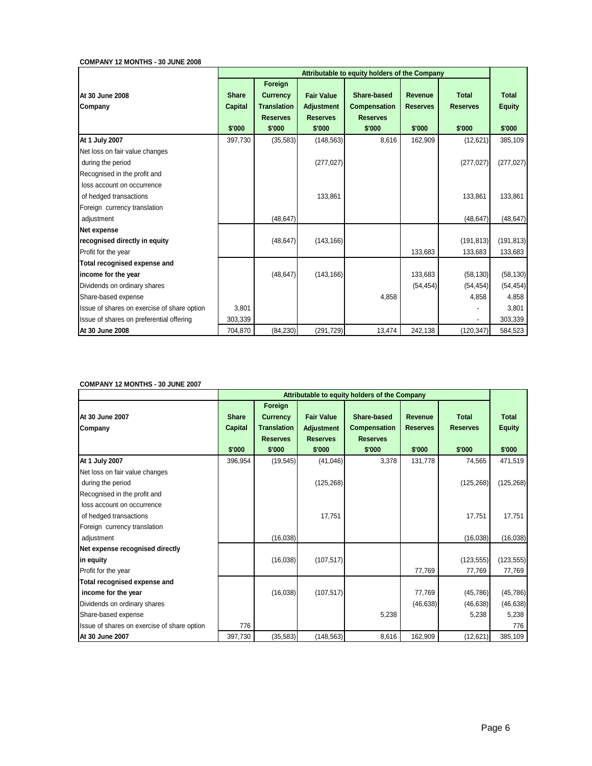#### **COMPANY 12 MONTHS - 30 JUNE 2008**

|                                                     |                                |                                                  |                                        | Attributable to equity holders of the Company |                            |                                 |                               |
|-----------------------------------------------------|--------------------------------|--------------------------------------------------|----------------------------------------|-----------------------------------------------|----------------------------|---------------------------------|-------------------------------|
| At 30 June 2008<br>Company                          | <b>Share</b><br><b>Capital</b> | Foreign<br><b>Currency</b><br><b>Translation</b> | <b>Fair Value</b><br><b>Adjustment</b> | Share-based<br><b>Compensation</b>            | Revenue<br><b>Reserves</b> | <b>Total</b><br><b>Reserves</b> | <b>Total</b><br><b>Equity</b> |
|                                                     | \$'000                         | <b>Reserves</b>                                  | <b>Reserves</b>                        | <b>Reserves</b>                               |                            | \$'000                          | \$'000                        |
|                                                     |                                | \$'000                                           | \$'000                                 | \$'000                                        | \$'000                     |                                 |                               |
| At 1 July 2007                                      | 397,730                        | (35, 583)                                        | (148, 563)                             | 8,616                                         | 162,909                    | (12, 621)                       | 385,109                       |
| Net loss on fair value changes<br>during the period |                                |                                                  | (277, 027)                             |                                               |                            | (277, 027)                      | (277, 027)                    |
| Recognised in the profit and                        |                                |                                                  |                                        |                                               |                            |                                 |                               |
| loss account on occurrence                          |                                |                                                  |                                        |                                               |                            |                                 |                               |
| of hedged transactions                              |                                |                                                  | 133,861                                |                                               |                            | 133,861                         | 133,861                       |
| Foreign currency translation                        |                                |                                                  |                                        |                                               |                            |                                 |                               |
| adjustment                                          |                                | (48, 647)                                        |                                        |                                               |                            | (48, 647)                       | (48, 647)                     |
| Net expense                                         |                                |                                                  |                                        |                                               |                            |                                 |                               |
| recognised directly in equity                       |                                | (48, 647)                                        | (143, 166)                             |                                               |                            | (191, 813)                      | (191, 813)                    |
| Profit for the year                                 |                                |                                                  |                                        |                                               | 133,683                    | 133,683                         | 133,683                       |
| Total recognised expense and                        |                                |                                                  |                                        |                                               |                            |                                 |                               |
| income for the year                                 |                                | (48, 647)                                        | (143, 166)                             |                                               | 133,683                    | (58, 130)                       | (58, 130)                     |
| Dividends on ordinary shares                        |                                |                                                  |                                        |                                               | (54, 454)                  | (54, 454)                       | (54, 454)                     |
| Share-based expense                                 |                                |                                                  |                                        | 4,858                                         |                            | 4,858                           | 4,858                         |
| Issue of shares on exercise of share option         | 3,801                          |                                                  |                                        |                                               |                            |                                 | 3,801                         |
| Issue of shares on preferential offering            | 303,339                        |                                                  |                                        |                                               |                            |                                 | 303,339                       |
| At 30 June 2008                                     | 704,870                        | (84, 230)                                        | (291, 729)                             | 13,474                                        | 242,138                    | (120,347)                       | 584,523                       |

## **COMPANY 12 MONTHS - 30 JUNE 2007**

|                                             |                                |                                                  |                                        | Attributable to equity holders of the Company |                                   |                                 |                               |
|---------------------------------------------|--------------------------------|--------------------------------------------------|----------------------------------------|-----------------------------------------------|-----------------------------------|---------------------------------|-------------------------------|
| At 30 June 2007<br>Company                  | <b>Share</b><br><b>Capital</b> | Foreign<br><b>Currency</b><br><b>Translation</b> | <b>Fair Value</b><br><b>Adjustment</b> | Share-based<br><b>Compensation</b>            | <b>Revenue</b><br><b>Reserves</b> | <b>Total</b><br><b>Reserves</b> | <b>Total</b><br><b>Equity</b> |
|                                             |                                | <b>Reserves</b>                                  | <b>Reserves</b>                        | <b>Reserves</b>                               |                                   |                                 |                               |
|                                             | \$'000                         | \$'000                                           | \$'000                                 | \$'000                                        | \$'000                            | \$'000                          | \$'000                        |
| At 1 July 2007                              | 396,954                        | (19, 545)                                        | (41, 046)                              | 3,378                                         | 131,778                           | 74,565                          | 471,519                       |
| Net loss on fair value changes              |                                |                                                  |                                        |                                               |                                   |                                 |                               |
| during the period                           |                                |                                                  | (125, 268)                             |                                               |                                   | (125, 268)                      | (125, 268)                    |
| Recognised in the profit and                |                                |                                                  |                                        |                                               |                                   |                                 |                               |
| loss account on occurrence                  |                                |                                                  |                                        |                                               |                                   |                                 |                               |
| of hedged transactions                      |                                |                                                  | 17,751                                 |                                               |                                   | 17,751                          | 17,751                        |
| Foreign currency translation                |                                |                                                  |                                        |                                               |                                   |                                 |                               |
| adjustment                                  |                                | (16,038)                                         |                                        |                                               |                                   | (16, 038)                       | (16,038)                      |
| Net expense recognised directly             |                                |                                                  |                                        |                                               |                                   |                                 |                               |
| in equity                                   |                                | (16,038)                                         | (107, 517)                             |                                               |                                   | (123, 555)                      | (123, 555)                    |
| Profit for the year                         |                                |                                                  |                                        |                                               | 77,769                            | 77,769                          | 77,769                        |
| Total recognised expense and                |                                |                                                  |                                        |                                               |                                   |                                 |                               |
| income for the year                         |                                | (16,038)                                         | (107, 517)                             |                                               | 77,769                            | (45, 786)                       | (45, 786)                     |
| Dividends on ordinary shares                |                                |                                                  |                                        |                                               | (46, 638)                         | (46, 638)                       | (46, 638)                     |
| Share-based expense                         |                                |                                                  |                                        | 5,238                                         |                                   | 5,238                           | 5,238                         |
| Issue of shares on exercise of share option | 776                            |                                                  |                                        |                                               |                                   |                                 | 776                           |
| At 30 June 2007                             | 397,730                        | (35, 583)                                        | (148, 563)                             | 8,616                                         | 162,909                           | (12,621)                        | 385,109                       |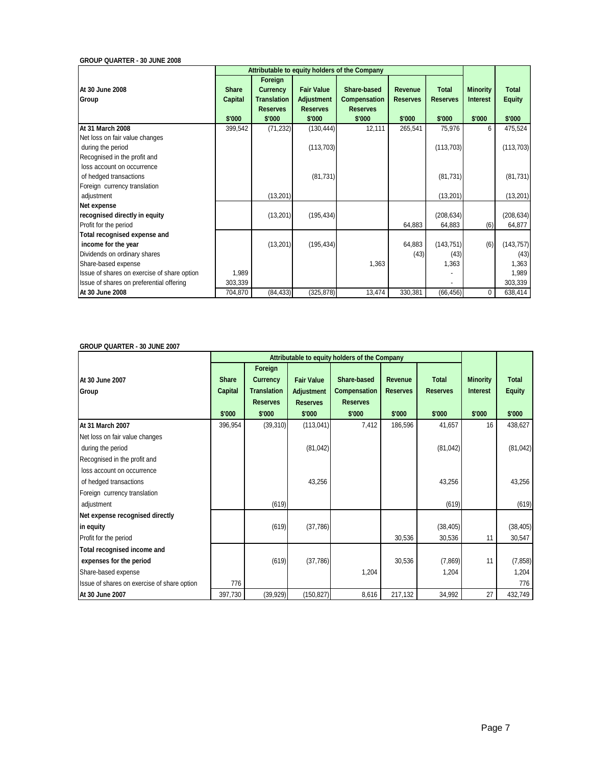**GROUP QUARTER - 30 JUNE 2008**

| Attributable to equity holders of the Company |              |                            |                   |                     |                 |                 |                 |               |
|-----------------------------------------------|--------------|----------------------------|-------------------|---------------------|-----------------|-----------------|-----------------|---------------|
| At 30 June 2008                               | <b>Share</b> | Foreign<br><b>Currency</b> | <b>Fair Value</b> | Share-based         | Revenue         | <b>Total</b>    | <b>Minority</b> | <b>Total</b>  |
| Group                                         | Capital      | <b>Translation</b>         | <b>Adjustment</b> | <b>Compensation</b> | <b>Reserves</b> | <b>Reserves</b> | <b>Interest</b> | <b>Equity</b> |
|                                               |              | <b>Reserves</b>            | <b>Reserves</b>   | <b>Reserves</b>     |                 |                 |                 |               |
|                                               | \$'000       | \$'000                     | \$'000            | \$'000              | \$'000          | \$'000          | \$'000          | \$'000        |
| At 31 March 2008                              | 399,542      | (71, 232)                  | (130, 444)        | 12,111              | 265,541         | 75,976          | 6               | 475,524       |
| Net loss on fair value changes                |              |                            |                   |                     |                 |                 |                 |               |
| during the period                             |              |                            | (113, 703)        |                     |                 | (113, 703)      |                 | (113, 703)    |
| Recognised in the profit and                  |              |                            |                   |                     |                 |                 |                 |               |
| loss account on occurrence                    |              |                            |                   |                     |                 |                 |                 |               |
| of hedged transactions                        |              |                            | (81, 731)         |                     |                 | (81, 731)       |                 | (81, 731)     |
| Foreign currency translation                  |              |                            |                   |                     |                 |                 |                 |               |
| adjustment                                    |              | (13, 201)                  |                   |                     |                 | (13,201)        |                 | (13, 201)     |
| Net expense                                   |              |                            |                   |                     |                 |                 |                 |               |
| recognised directly in equity                 |              | (13, 201)                  | (195, 434)        |                     |                 | (208, 634)      |                 | (208, 634)    |
| Profit for the period                         |              |                            |                   |                     | 64,883          | 64,883          | (6)             | 64,877        |
| Total recognised expense and                  |              |                            |                   |                     |                 |                 |                 |               |
| income for the year                           |              | (13, 201)                  | (195, 434)        |                     | 64,883          | (143, 751)      | (6)             | (143, 757)    |
| Dividends on ordinary shares                  |              |                            |                   |                     | (43)            | (43)            |                 | (43)          |
| Share-based expense                           |              |                            |                   | 1,363               |                 | 1,363           |                 | 1,363         |
| Issue of shares on exercise of share option   | 1,989        |                            |                   |                     |                 |                 |                 | 1,989         |
| Issue of shares on preferential offering      | 303,339      |                            |                   |                     |                 |                 |                 | 303,339       |
| At 30 June 2008                               | 704,870      | (84, 433)                  | (325, 878)        | 13,474              | 330,381         | (66, 456)       | 0               | 638,414       |

## **GROUP QUARTER - 30 JUNE 2007**

|                                             |                                          | Attributable to equity holders of the Company                                 |                                                                     |                                                                 |                                      |                                           |                                              |                                         |
|---------------------------------------------|------------------------------------------|-------------------------------------------------------------------------------|---------------------------------------------------------------------|-----------------------------------------------------------------|--------------------------------------|-------------------------------------------|----------------------------------------------|-----------------------------------------|
| At 30 June 2007<br>Group                    | <b>Share</b><br><b>Capital</b><br>\$'000 | Foreign<br><b>Currency</b><br><b>Translation</b><br><b>Reserves</b><br>\$'000 | <b>Fair Value</b><br><b>Adjustment</b><br><b>Reserves</b><br>\$'000 | Share-based<br><b>Compensation</b><br><b>Reserves</b><br>\$'000 | Revenue<br><b>Reserves</b><br>\$'000 | <b>Total</b><br><b>Reserves</b><br>\$'000 | <b>Minority</b><br><b>Interest</b><br>\$'000 | <b>Total</b><br><b>Equity</b><br>\$'000 |
| At 31 March 2007                            | 396,954                                  | (39, 310)                                                                     | (113, 041)                                                          | 7,412                                                           | 186,596                              | 41,657                                    | 16                                           | 438,627                                 |
| Net loss on fair value changes              |                                          |                                                                               |                                                                     |                                                                 |                                      |                                           |                                              |                                         |
| during the period                           |                                          |                                                                               | (81, 042)                                                           |                                                                 |                                      | (81, 042)                                 |                                              | (81, 042)                               |
| Recognised in the profit and                |                                          |                                                                               |                                                                     |                                                                 |                                      |                                           |                                              |                                         |
| loss account on occurrence                  |                                          |                                                                               |                                                                     |                                                                 |                                      |                                           |                                              |                                         |
| of hedged transactions                      |                                          |                                                                               | 43,256                                                              |                                                                 |                                      | 43,256                                    |                                              | 43,256                                  |
| Foreign currency translation                |                                          |                                                                               |                                                                     |                                                                 |                                      |                                           |                                              |                                         |
| adjustment                                  |                                          | (619)                                                                         |                                                                     |                                                                 |                                      | (619)                                     |                                              | (619)                                   |
| Net expense recognised directly             |                                          |                                                                               |                                                                     |                                                                 |                                      |                                           |                                              |                                         |
| in equity                                   |                                          | (619)                                                                         | (37, 786)                                                           |                                                                 |                                      | (38, 405)                                 |                                              | (38, 405)                               |
| Profit for the period                       |                                          |                                                                               |                                                                     |                                                                 | 30,536                               | 30,536                                    | 11                                           | 30,547                                  |
| Total recognised income and                 |                                          |                                                                               |                                                                     |                                                                 |                                      |                                           |                                              |                                         |
| expenses for the period                     |                                          | (619)                                                                         | (37, 786)                                                           |                                                                 | 30,536                               | (7,869)                                   | 11                                           | (7, 858)                                |
| Share-based expense                         |                                          |                                                                               |                                                                     | 1,204                                                           |                                      | 1,204                                     |                                              | 1,204                                   |
| Issue of shares on exercise of share option | 776                                      |                                                                               |                                                                     |                                                                 |                                      |                                           |                                              | 776                                     |
| At 30 June 2007                             | 397,730                                  | (39, 929)                                                                     | (150, 827)                                                          | 8,616                                                           | 217,132                              | 34,992                                    | 27                                           | 432,749                                 |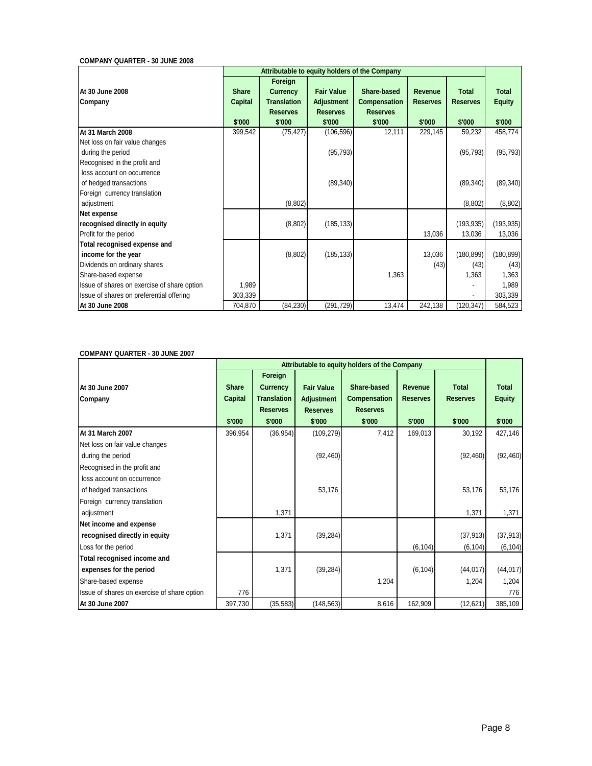## **COMPANY QUARTER - 30 JUNE 2008**

| Attributable to equity holders of the Company                                       |                                          |                                                                               |                                                                     |                                                                 |                                      |                                           |                                  |  |
|-------------------------------------------------------------------------------------|------------------------------------------|-------------------------------------------------------------------------------|---------------------------------------------------------------------|-----------------------------------------------------------------|--------------------------------------|-------------------------------------------|----------------------------------|--|
| At 30 June 2008<br>Company                                                          | <b>Share</b><br><b>Capital</b><br>\$'000 | Foreign<br><b>Currency</b><br><b>Translation</b><br><b>Reserves</b><br>\$'000 | <b>Fair Value</b><br><b>Adjustment</b><br><b>Reserves</b><br>\$'000 | Share-based<br><b>Compensation</b><br><b>Reserves</b><br>\$'000 | Revenue<br><b>Reserves</b><br>\$'000 | <b>Total</b><br><b>Reserves</b><br>\$'000 | Total<br><b>Equity</b><br>\$'000 |  |
| At 31 March 2008                                                                    | 399,542                                  | (75, 427)                                                                     | (106, 596)                                                          | 12,111                                                          | 229,145                              | 59,232                                    | 458,774                          |  |
| Net loss on fair value changes<br>during the period<br>Recognised in the profit and |                                          |                                                                               | (95, 793)                                                           |                                                                 |                                      | (95, 793)                                 | (95, 793)                        |  |
| loss account on occurrence<br>of hedged transactions                                |                                          |                                                                               | (89, 340)                                                           |                                                                 |                                      | (89, 340)                                 | (89, 340)                        |  |
| Foreign currency translation<br>adjustment                                          |                                          | (8,802)                                                                       |                                                                     |                                                                 |                                      | (8,802)                                   | (8,802)                          |  |
| Net expense                                                                         |                                          |                                                                               |                                                                     |                                                                 |                                      |                                           |                                  |  |
| recognised directly in equity<br>Profit for the period                              |                                          | (8,802)                                                                       | (185, 133)                                                          |                                                                 | 13,036                               | (193, 935)<br>13,036                      | (193, 935)<br>13,036             |  |
| Total recognised expense and<br>income for the year<br>Dividends on ordinary shares |                                          | (8,802)                                                                       | (185, 133)                                                          |                                                                 | 13,036<br>(43)                       | (180, 899)<br>(43)                        | (180, 899)<br>(43)               |  |
| Share-based expense                                                                 |                                          |                                                                               |                                                                     | 1,363                                                           |                                      | 1,363                                     | 1,363                            |  |
| Issue of shares on exercise of share option                                         | 1,989                                    |                                                                               |                                                                     |                                                                 |                                      |                                           | 1,989                            |  |
| Issue of shares on preferential offering                                            | 303,339                                  |                                                                               |                                                                     |                                                                 |                                      |                                           | 303,339                          |  |
| At 30 June 2008                                                                     | 704,870                                  | (84, 230)                                                                     | (291, 729)                                                          | 13,474                                                          | 242,138                              | (120, 347)                                | 584,523                          |  |

## **COMPANY QUARTER - 30 JUNE 2007**

|                                             | Attributable to equity holders of the Company |                                                  |                                        |                                    |                                   |                                 |                               |  |
|---------------------------------------------|-----------------------------------------------|--------------------------------------------------|----------------------------------------|------------------------------------|-----------------------------------|---------------------------------|-------------------------------|--|
| At 30 June 2007<br>Company                  | <b>Share</b><br><b>Capital</b>                | Foreign<br><b>Currency</b><br><b>Translation</b> | <b>Fair Value</b><br><b>Adjustment</b> | Share-based<br><b>Compensation</b> | <b>Revenue</b><br><b>Reserves</b> | <b>Total</b><br><b>Reserves</b> | <b>Total</b><br><b>Equity</b> |  |
|                                             |                                               | <b>Reserves</b>                                  | <b>Reserves</b>                        | <b>Reserves</b>                    |                                   |                                 |                               |  |
|                                             | \$'000                                        | \$'000                                           | \$'000                                 | \$'000                             | \$'000                            | \$'000                          | \$'000                        |  |
| At 31 March 2007                            | 396,954                                       | (36, 954)                                        | (109, 279)                             | 7,412                              | 169,013                           | 30,192                          | 427,146                       |  |
| Net loss on fair value changes              |                                               |                                                  |                                        |                                    |                                   |                                 |                               |  |
| during the period                           |                                               |                                                  | (92, 460)                              |                                    |                                   | (92, 460)                       | (92, 460)                     |  |
| Recognised in the profit and                |                                               |                                                  |                                        |                                    |                                   |                                 |                               |  |
| loss account on occurrence                  |                                               |                                                  |                                        |                                    |                                   |                                 |                               |  |
| of hedged transactions                      |                                               |                                                  | 53,176                                 |                                    |                                   | 53,176                          | 53,176                        |  |
| Foreign currency translation                |                                               |                                                  |                                        |                                    |                                   |                                 |                               |  |
| adjustment                                  |                                               | 1,371                                            |                                        |                                    |                                   | 1,371                           | 1,371                         |  |
| Net income and expense                      |                                               |                                                  |                                        |                                    |                                   |                                 |                               |  |
| recognised directly in equity               |                                               | 1,371                                            | (39, 284)                              |                                    |                                   | (37, 913)                       | (37, 913)                     |  |
| Loss for the period                         |                                               |                                                  |                                        |                                    | (6, 104)                          | (6, 104)                        | (6, 104)                      |  |
| Total recognised income and                 |                                               |                                                  |                                        |                                    |                                   |                                 |                               |  |
| expenses for the period                     |                                               | 1,371                                            | (39, 284)                              |                                    | (6, 104)                          | (44, 017)                       | (44, 017)                     |  |
| Share-based expense                         |                                               |                                                  |                                        | 1,204                              |                                   | 1,204                           | 1,204                         |  |
| Issue of shares on exercise of share option | 776                                           |                                                  |                                        |                                    |                                   |                                 | 776                           |  |
| At 30 June 2007                             | 397,730                                       | (35, 583)                                        | (148, 563)                             | 8,616                              | 162,909                           | (12, 621)                       | 385,109                       |  |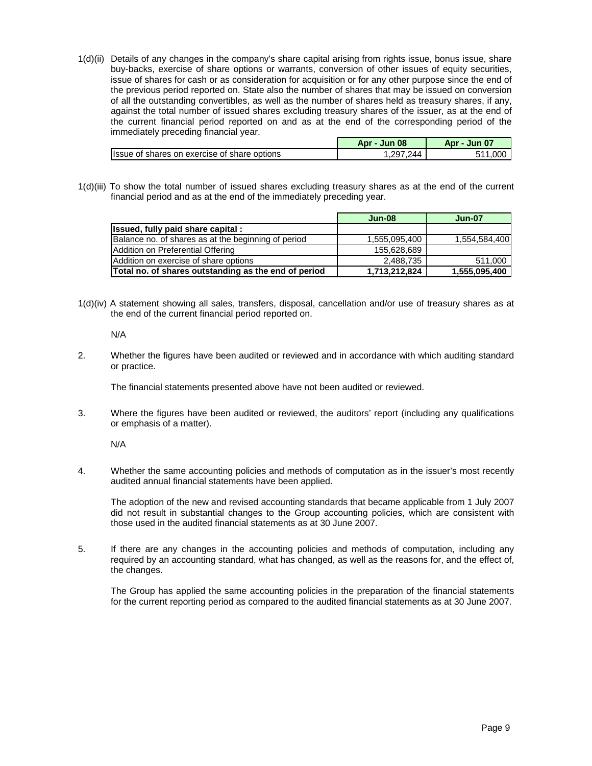1(d)(ii) Details of any changes in the company's share capital arising from rights issue, bonus issue, share buy-backs, exercise of share options or warrants, conversion of other issues of equity securities, issue of shares for cash or as consideration for acquisition or for any other purpose since the end of the previous period reported on. State also the number of shares that may be issued on conversion of all the outstanding convertibles, as well as the number of shares held as treasury shares, if any, against the total number of issued shares excluding treasury shares of the issuer, as at the end of the current financial period reported on and as at the end of the corresponding period of the immediately preceding financial year.

|                                               | <b>Jun 08</b><br>Apr | $\mathbf{0}$<br>Apr<br>Jun |
|-----------------------------------------------|----------------------|----------------------------|
| Ilssue of shares on exercise of share options | סכי.<br>۱44          | റററ                        |

1(d)(iii) To show the total number of issued shares excluding treasury shares as at the end of the current financial period and as at the end of the immediately preceding year.

|                                                      | $Jun-08$      | <b>Jun-07</b> |
|------------------------------------------------------|---------------|---------------|
| Issued, fully paid share capital :                   |               |               |
| Balance no. of shares as at the beginning of period  | 1,555,095,400 | 1,554,584,400 |
| Addition on Preferential Offering                    | 155.628.689   |               |
| Addition on exercise of share options                | 2,488,735     | 511,000       |
| Total no. of shares outstanding as the end of period | 1,713,212,824 | 1,555,095,400 |

1(d)(iv) A statement showing all sales, transfers, disposal, cancellation and/or use of treasury shares as at the end of the current financial period reported on.

N/A

2. Whether the figures have been audited or reviewed and in accordance with which auditing standard or practice.

The financial statements presented above have not been audited or reviewed.

3. Where the figures have been audited or reviewed, the auditors' report (including any qualifications or emphasis of a matter).

N/A

4. Whether the same accounting policies and methods of computation as in the issuer's most recently audited annual financial statements have been applied.

 The adoption of the new and revised accounting standards that became applicable from 1 July 2007 did not result in substantial changes to the Group accounting policies, which are consistent with those used in the audited financial statements as at 30 June 2007.

5. If there are any changes in the accounting policies and methods of computation, including any required by an accounting standard, what has changed, as well as the reasons for, and the effect of, the changes.

 The Group has applied the same accounting policies in the preparation of the financial statements for the current reporting period as compared to the audited financial statements as at 30 June 2007.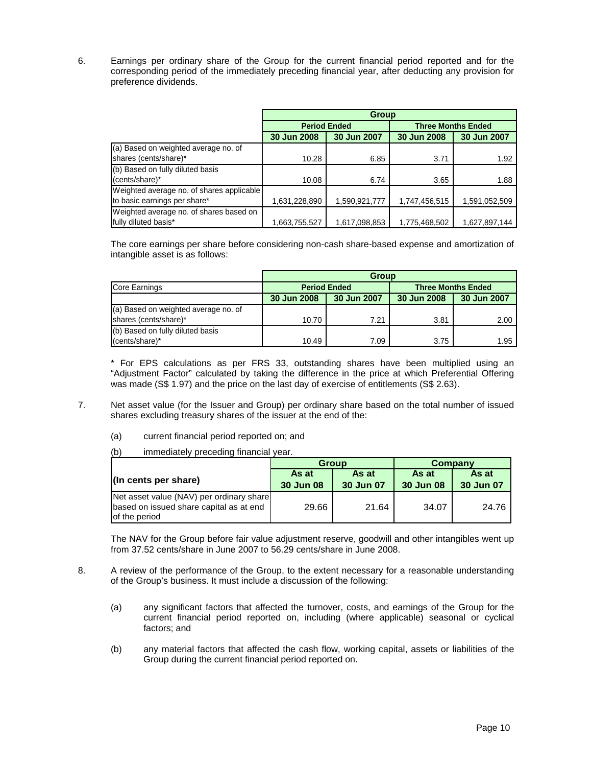6. Earnings per ordinary share of the Group for the current financial period reported and for the corresponding period of the immediately preceding financial year, after deducting any provision for preference dividends.

|                                           | Group         |                     |               |                           |  |  |  |
|-------------------------------------------|---------------|---------------------|---------------|---------------------------|--|--|--|
|                                           |               | <b>Period Ended</b> |               | <b>Three Months Ended</b> |  |  |  |
|                                           | 30 Jun 2008   | 30 Jun 2007         | 30 Jun 2008   | 30 Jun 2007               |  |  |  |
| (a) Based on weighted average no. of      |               |                     |               |                           |  |  |  |
| shares (cents/share)*                     | 10.28         | 6.85                | 3.71          | 1.92                      |  |  |  |
| (b) Based on fully diluted basis          |               |                     |               |                           |  |  |  |
| (cents/share)*                            | 10.08         | 6.74                | 3.65          | 1.88                      |  |  |  |
| Weighted average no. of shares applicable |               |                     |               |                           |  |  |  |
| to basic earnings per share*              | 1,631,228,890 | 1,590,921,777       | 1,747,456,515 | 1,591,052,509             |  |  |  |
| Weighted average no. of shares based on   |               |                     |               |                           |  |  |  |
| fully diluted basis*                      | 1,663,755,527 | 1,617,098,853       | 1,775,468,502 | 1,627,897,144             |  |  |  |

The core earnings per share before considering non-cash share-based expense and amortization of intangible asset is as follows:

|                                      | <b>Group</b> |                     |                           |             |  |  |  |
|--------------------------------------|--------------|---------------------|---------------------------|-------------|--|--|--|
| Core Earnings                        |              | <b>Period Ended</b> | <b>Three Months Ended</b> |             |  |  |  |
|                                      | 30 Jun 2008  | 30 Jun 2007         | 30 Jun 2008               | 30 Jun 2007 |  |  |  |
| (a) Based on weighted average no. of |              |                     |                           |             |  |  |  |
| shares (cents/share)*                | 10.70        | 7.21                | 3.81                      | 2.00        |  |  |  |
| (b) Based on fully diluted basis     |              |                     |                           |             |  |  |  |
| (cents/share)*                       | 10.49        | 7.09                | 3.75                      | 1.95        |  |  |  |

 \* For EPS calculations as per FRS 33, outstanding shares have been multiplied using an "Adjustment Factor" calculated by taking the difference in the price at which Preferential Offering was made (S\$ 1.97) and the price on the last day of exercise of entitlements (S\$ 2.63).

- 7. Net asset value (for the Issuer and Group) per ordinary share based on the total number of issued shares excluding treasury shares of the issuer at the end of the:
	- (a) current financial period reported on; and
	- (b) immediately preceding financial year.

|                                                                                                      | <b>Group</b>              |                    | Company                   |                    |  |
|------------------------------------------------------------------------------------------------------|---------------------------|--------------------|---------------------------|--------------------|--|
| (In cents per share)                                                                                 | As at<br><b>30 Jun 08</b> | As at<br>30 Jun 07 | As at<br><b>30 Jun 08</b> | As at<br>30 Jun 07 |  |
| Net asset value (NAV) per ordinary share<br>based on issued share capital as at end<br>of the period | 29.66                     | 21.64              | 34.07                     | 24.76              |  |

The NAV for the Group before fair value adjustment reserve, goodwill and other intangibles went up from 37.52 cents/share in June 2007 to 56.29 cents/share in June 2008.

- 8. A review of the performance of the Group, to the extent necessary for a reasonable understanding of the Group's business. It must include a discussion of the following:
	- (a) any significant factors that affected the turnover, costs, and earnings of the Group for the current financial period reported on, including (where applicable) seasonal or cyclical factors; and
	- (b) any material factors that affected the cash flow, working capital, assets or liabilities of the Group during the current financial period reported on.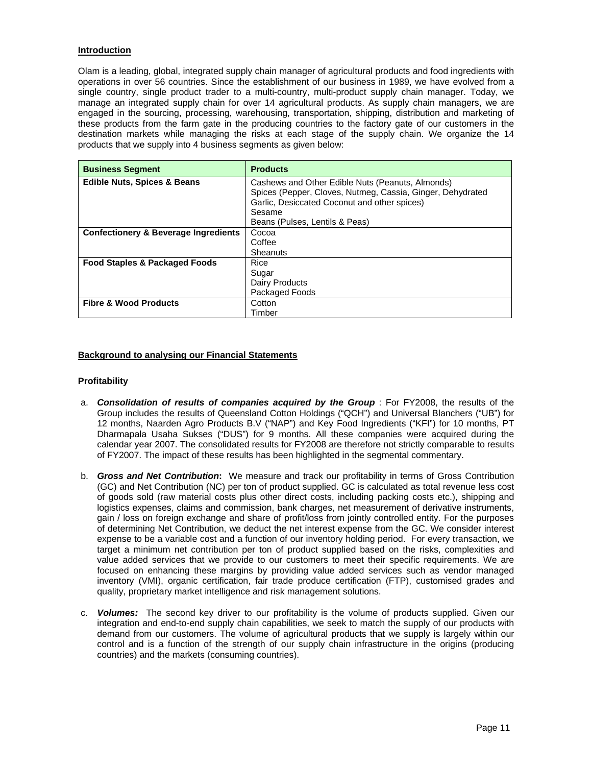## **Introduction**

Olam is a leading, global, integrated supply chain manager of agricultural products and food ingredients with operations in over 56 countries. Since the establishment of our business in 1989, we have evolved from a single country, single product trader to a multi-country, multi-product supply chain manager. Today, we manage an integrated supply chain for over 14 agricultural products. As supply chain managers, we are engaged in the sourcing, processing, warehousing, transportation, shipping, distribution and marketing of these products from the farm gate in the producing countries to the factory gate of our customers in the destination markets while managing the risks at each stage of the supply chain. We organize the 14 products that we supply into 4 business segments as given below:

| <b>Business Segment</b>                         | <b>Products</b>                                            |
|-------------------------------------------------|------------------------------------------------------------|
| <b>Edible Nuts, Spices &amp; Beans</b>          | Cashews and Other Edible Nuts (Peanuts, Almonds)           |
|                                                 | Spices (Pepper, Cloves, Nutmeg, Cassia, Ginger, Dehydrated |
|                                                 | Garlic, Desiccated Coconut and other spices)               |
|                                                 | Sesame                                                     |
|                                                 | Beans (Pulses, Lentils & Peas)                             |
| <b>Confectionery &amp; Beverage Ingredients</b> | Cocoa                                                      |
|                                                 | Coffee                                                     |
|                                                 | Sheanuts                                                   |
| <b>Food Staples &amp; Packaged Foods</b>        | Rice                                                       |
|                                                 | Sugar                                                      |
|                                                 | Dairy Products                                             |
|                                                 | Packaged Foods                                             |
| <b>Fibre &amp; Wood Products</b>                | Cotton                                                     |
|                                                 | Timber                                                     |

## **Background to analysing our Financial Statements**

### **Profitability**

- a. *Consolidation of results of companies acquired by the Group* : For FY2008, the results of the Group includes the results of Queensland Cotton Holdings ("QCH") and Universal Blanchers ("UB") for 12 months, Naarden Agro Products B.V ("NAP") and Key Food Ingredients ("KFI") for 10 months, PT Dharmapala Usaha Sukses ("DUS") for 9 months. All these companies were acquired during the calendar year 2007. The consolidated results for FY2008 are therefore not strictly comparable to results of FY2007. The impact of these results has been highlighted in the segmental commentary.
- b. *Gross and Net Contribution***:** We measure and track our profitability in terms of Gross Contribution (GC) and Net Contribution (NC) per ton of product supplied. GC is calculated as total revenue less cost of goods sold (raw material costs plus other direct costs, including packing costs etc.), shipping and logistics expenses, claims and commission, bank charges, net measurement of derivative instruments, gain / loss on foreign exchange and share of profit/loss from jointly controlled entity. For the purposes of determining Net Contribution, we deduct the net interest expense from the GC. We consider interest expense to be a variable cost and a function of our inventory holding period. For every transaction, we target a minimum net contribution per ton of product supplied based on the risks, complexities and value added services that we provide to our customers to meet their specific requirements. We are focused on enhancing these margins by providing value added services such as vendor managed inventory (VMI), organic certification, fair trade produce certification (FTP), customised grades and quality, proprietary market intelligence and risk management solutions.
- c. *Volumes:* The second key driver to our profitability is the volume of products supplied. Given our integration and end-to-end supply chain capabilities, we seek to match the supply of our products with demand from our customers. The volume of agricultural products that we supply is largely within our control and is a function of the strength of our supply chain infrastructure in the origins (producing countries) and the markets (consuming countries).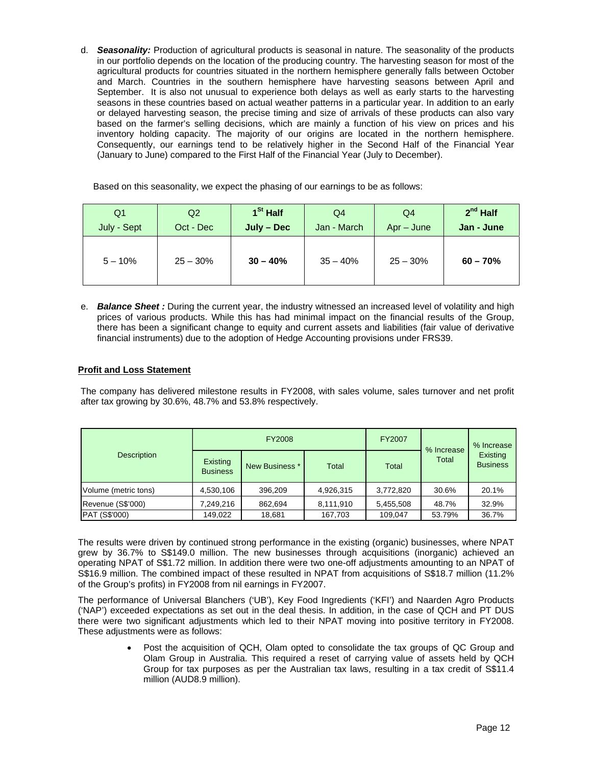d. *Seasonality:* Production of agricultural products is seasonal in nature. The seasonality of the products in our portfolio depends on the location of the producing country. The harvesting season for most of the agricultural products for countries situated in the northern hemisphere generally falls between October and March. Countries in the southern hemisphere have harvesting seasons between April and September. It is also not unusual to experience both delays as well as early starts to the harvesting seasons in these countries based on actual weather patterns in a particular year. In addition to an early or delayed harvesting season, the precise timing and size of arrivals of these products can also vary based on the farmer's selling decisions, which are mainly a function of his view on prices and his inventory holding capacity. The majority of our origins are located in the northern hemisphere. Consequently, our earnings tend to be relatively higher in the Second Half of the Financial Year (January to June) compared to the First Half of the Financial Year (July to December).

Based on this seasonality, we expect the phasing of our earnings to be as follows:

| Q <sub>1</sub> | Q2         | 1 <sup>St</sup> Half | Q4          | Q4           | $2^{nd}$ Half |
|----------------|------------|----------------------|-------------|--------------|---------------|
| July - Sept    | Oct - Dec  | July - Dec           | Jan - March | $Apr - June$ | Jan - June    |
| $5 - 10\%$     | $25 - 30%$ | $30 - 40%$           | $35 - 40%$  | $25 - 30%$   | $60 - 70%$    |

e. *Balance Sheet :* During the current year, the industry witnessed an increased level of volatility and high prices of various products. While this has had minimal impact on the financial results of the Group, there has been a significant change to equity and current assets and liabilities (fair value of derivative financial instruments) due to the adoption of Hedge Accounting provisions under FRS39.

## **Profit and Loss Statement**

The company has delivered milestone results in FY2008, with sales volume, sales turnover and net profit after tax growing by 30.6%, 48.7% and 53.8% respectively.

| <b>Description</b>   |                             | FY2008         |           | FY2007    | % Increase | % Increase                  |
|----------------------|-----------------------------|----------------|-----------|-----------|------------|-----------------------------|
|                      | Existing<br><b>Business</b> | New Business * | Total     | Total     | Total      | Existing<br><b>Business</b> |
| Volume (metric tons) | 4,530,106                   | 396,209        | 4,926,315 | 3,772,820 | 30.6%      | 20.1%                       |
| Revenue (S\$'000)    | 7,249,216                   | 862,694        | 8,111,910 | 5,455,508 | 48.7%      | 32.9%                       |
| PAT (S\$'000)        | 149.022                     | 18,681         | 167,703   | 109.047   | 53.79%     | 36.7%                       |

The results were driven by continued strong performance in the existing (organic) businesses, where NPAT grew by 36.7% to S\$149.0 million. The new businesses through acquisitions (inorganic) achieved an operating NPAT of S\$1.72 million. In addition there were two one-off adjustments amounting to an NPAT of S\$16.9 million. The combined impact of these resulted in NPAT from acquisitions of S\$18.7 million (11.2% of the Group's profits) in FY2008 from nil earnings in FY2007.

The performance of Universal Blanchers ('UB'), Key Food Ingredients ('KFI') and Naarden Agro Products ('NAP') exceeded expectations as set out in the deal thesis. In addition, in the case of QCH and PT DUS there were two significant adjustments which led to their NPAT moving into positive territory in FY2008. These adjustments were as follows:

> • Post the acquisition of QCH, Olam opted to consolidate the tax groups of QC Group and Olam Group in Australia. This required a reset of carrying value of assets held by QCH Group for tax purposes as per the Australian tax laws, resulting in a tax credit of S\$11.4 million (AUD8.9 million).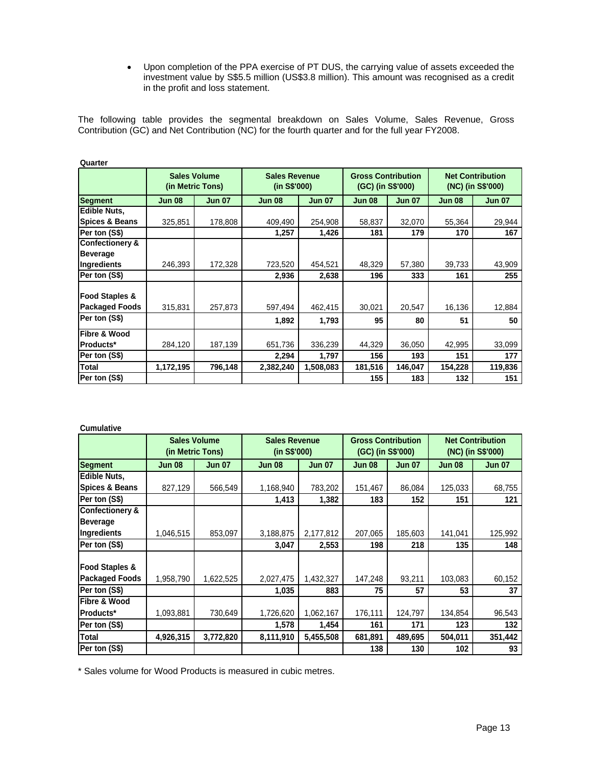• Upon completion of the PPA exercise of PT DUS, the carrying value of assets exceeded the investment value by S\$5.5 million (US\$3.8 million). This amount was recognised as a credit in the profit and loss statement.

The following table provides the segmental breakdown on Sales Volume, Sales Revenue, Gross Contribution (GC) and Net Contribution (NC) for the fourth quarter and for the full year FY2008.

| Quarter                                            |                     |                  |                                      |               |                                                |               |                                              |               |
|----------------------------------------------------|---------------------|------------------|--------------------------------------|---------------|------------------------------------------------|---------------|----------------------------------------------|---------------|
|                                                    | <b>Sales Volume</b> | (in Metric Tons) | <b>Sales Revenue</b><br>(in S\$'000) |               | <b>Gross Contribution</b><br>(GC) (in S\$'000) |               | <b>Net Contribution</b><br>(NC) (in S\$'000) |               |
| <b>Segment</b>                                     | <b>Jun 08</b>       | <b>Jun 07</b>    | <b>Jun 08</b>                        | <b>Jun 07</b> | <b>Jun 08</b>                                  | <b>Jun 07</b> | <b>Jun 08</b>                                | <b>Jun 07</b> |
| Edible Nuts,                                       |                     |                  |                                      |               |                                                |               |                                              |               |
| <b>Spices &amp; Beans</b>                          | 325,851             | 178,808          | 409,490                              | 254,908       | 58,837                                         | 32,070        | 55,364                                       | 29,944        |
| Per ton (S\$)                                      |                     |                  | 1,257                                | 1,426         | 181                                            | 179           | 170                                          | 167           |
| <b>Confectionery &amp;</b>                         |                     |                  |                                      |               |                                                |               |                                              |               |
| <b>Beverage</b>                                    |                     |                  |                                      |               |                                                |               |                                              |               |
| Ingredients                                        | 246,393             | 172,328          | 723,520                              | 454,521       | 48,329                                         | 57,380        | 39,733                                       | 43,909        |
| Per ton (S\$)                                      |                     |                  | 2,936                                | 2,638         | 196                                            | 333           | 161                                          | 255           |
| <b>Food Staples &amp;</b><br><b>Packaged Foods</b> | 315,831             | 257,873          | 597,494                              | 462,415       | 30,021                                         | 20,547        | 16,136                                       | 12,884        |
| Per ton (S\$)                                      |                     |                  | 1,892                                | 1,793         | 95                                             | 80            | 51                                           | 50            |
| Fibre & Wood                                       |                     |                  |                                      |               |                                                |               |                                              |               |
| Products*                                          | 284,120             | 187,139          | 651,736                              | 336,239       | 44,329                                         | 36,050        | 42,995                                       | 33,099        |
| Per ton (S\$)                                      |                     |                  | 2,294                                | 1,797         | 156                                            | 193           | 151                                          | 177           |
| <b>Total</b>                                       | 1,172,195           | 796,148          | 2,382,240                            | 1,508,083     | 181,516                                        | 146,047       | 154,228                                      | 119,836       |
| Per ton (S\$)                                      |                     |                  |                                      |               | 155                                            | 183           | 132                                          | 151           |

**Cumulative**

|                            |               | <b>Sales Volume</b><br>(in Metric Tons) |               | <b>Gross Contribution</b><br><b>Sales Revenue</b><br>(in S\$'000)<br>(GC) (in S\$'000) |               | <b>Net Contribution</b><br>(NC) (in S\$'000) |               |               |  |  |
|----------------------------|---------------|-----------------------------------------|---------------|----------------------------------------------------------------------------------------|---------------|----------------------------------------------|---------------|---------------|--|--|
| <b>Segment</b>             | <b>Jun 08</b> | <b>Jun 07</b>                           | <b>Jun 08</b> | <b>Jun 07</b>                                                                          | <b>Jun 08</b> | <b>Jun 07</b>                                | <b>Jun 08</b> | <b>Jun 07</b> |  |  |
| <b>Edible Nuts,</b>        |               |                                         |               |                                                                                        |               |                                              |               |               |  |  |
| <b>Spices &amp; Beans</b>  | 827,129       | 566,549                                 | 1,168,940     | 783,202                                                                                | 151,467       | 86,084                                       | 125,033       | 68,755        |  |  |
| Per ton (S\$)              |               |                                         | 1,413         | 1,382                                                                                  | 183           | 152                                          | 151           | 121           |  |  |
| <b>Confectionery &amp;</b> |               |                                         |               |                                                                                        |               |                                              |               |               |  |  |
| <b>Beverage</b>            |               |                                         |               |                                                                                        |               |                                              |               |               |  |  |
| Ingredients                | 1,046,515     | 853,097                                 | 3,188,875     | 2,177,812                                                                              | 207,065       | 185,603                                      | 141,041       | 125,992       |  |  |
| Per ton (S\$)              |               |                                         | 3,047         | 2,553                                                                                  | 198           | 218                                          | 135           | 148           |  |  |
| <b>Food Staples &amp;</b>  |               |                                         |               |                                                                                        |               |                                              |               |               |  |  |
| <b>Packaged Foods</b>      | 1,958,790     | 1,622,525                               | 2,027,475     | 1,432,327                                                                              | 147,248       | 93,211                                       | 103,083       | 60,152        |  |  |
| Per ton (S\$)              |               |                                         | 1,035         | 883                                                                                    | 75            | 57                                           | 53            | 37            |  |  |
| Fibre & Wood               |               |                                         |               |                                                                                        |               |                                              |               |               |  |  |
| <b>Products*</b>           | 1,093,881     | 730,649                                 | 1,726,620     | 1,062,167                                                                              | 176,111       | 124,797                                      | 134,854       | 96,543        |  |  |
| Per ton (S\$)              |               |                                         | 1,578         | 1,454                                                                                  | 161           | 171                                          | 123           | 132           |  |  |
| <b>Total</b>               | 4,926,315     | 3,772,820                               | 8,111,910     | 5,455,508                                                                              | 681,891       | 489,695                                      | 504,011       | 351,442       |  |  |
| Per ton (S\$)              |               |                                         |               |                                                                                        | 138           | 130                                          | 102           | 93            |  |  |

\* Sales volume for Wood Products is measured in cubic metres.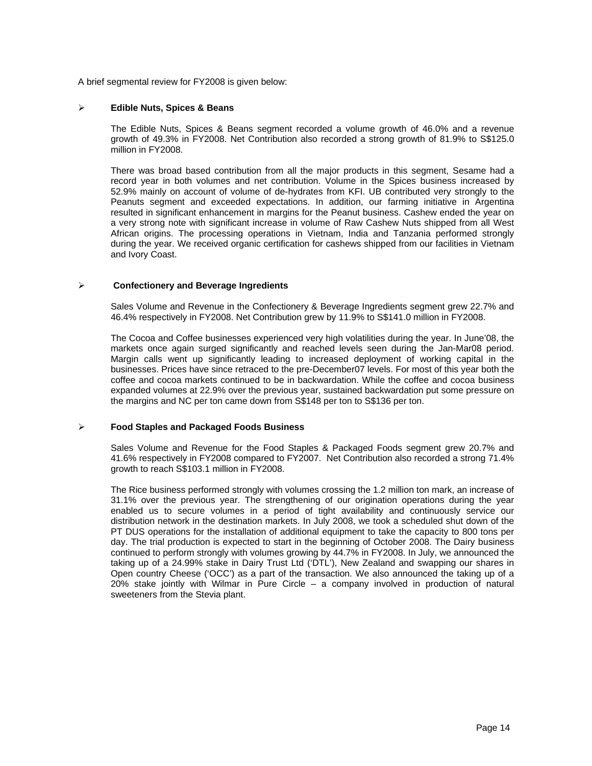A brief segmental review for FY2008 is given below:

#### ¾ **Edible Nuts, Spices & Beans**

The Edible Nuts, Spices & Beans segment recorded a volume growth of 46.0% and a revenue growth of 49.3% in FY2008. Net Contribution also recorded a strong growth of 81.9% to S\$125.0 million in FY2008.

There was broad based contribution from all the major products in this segment, Sesame had a record year in both volumes and net contribution. Volume in the Spices business increased by 52.9% mainly on account of volume of de-hydrates from KFI. UB contributed very strongly to the Peanuts segment and exceeded expectations. In addition, our farming initiative in Argentina resulted in significant enhancement in margins for the Peanut business. Cashew ended the year on a very strong note with significant increase in volume of Raw Cashew Nuts shipped from all West African origins. The processing operations in Vietnam, India and Tanzania performed strongly during the year. We received organic certification for cashews shipped from our facilities in Vietnam and Ivory Coast.

#### ¾ **Confectionery and Beverage Ingredients**

Sales Volume and Revenue in the Confectionery & Beverage Ingredients segment grew 22.7% and 46.4% respectively in FY2008. Net Contribution grew by 11.9% to S\$141.0 million in FY2008.

The Cocoa and Coffee businesses experienced very high volatilities during the year. In June'08, the markets once again surged significantly and reached levels seen during the Jan-Mar08 period. Margin calls went up significantly leading to increased deployment of working capital in the businesses. Prices have since retraced to the pre-December07 levels. For most of this year both the coffee and cocoa markets continued to be in backwardation. While the coffee and cocoa business expanded volumes at 22.9% over the previous year, sustained backwardation put some pressure on the margins and NC per ton came down from S\$148 per ton to S\$136 per ton.

#### ¾ **Food Staples and Packaged Foods Business**

Sales Volume and Revenue for the Food Staples & Packaged Foods segment grew 20.7% and 41.6% respectively in FY2008 compared to FY2007. Net Contribution also recorded a strong 71.4% growth to reach S\$103.1 million in FY2008.

The Rice business performed strongly with volumes crossing the 1.2 million ton mark, an increase of 31.1% over the previous year. The strengthening of our origination operations during the year enabled us to secure volumes in a period of tight availability and continuously service our distribution network in the destination markets. In July 2008, we took a scheduled shut down of the PT DUS operations for the installation of additional equipment to take the capacity to 800 tons per day. The trial production is expected to start in the beginning of October 2008. The Dairy business continued to perform strongly with volumes growing by 44.7% in FY2008. In July, we announced the taking up of a 24.99% stake in Dairy Trust Ltd ('DTL'), New Zealand and swapping our shares in Open country Cheese ('OCC') as a part of the transaction. We also announced the taking up of a 20% stake jointly with Wilmar in Pure Circle – a company involved in production of natural sweeteners from the Stevia plant.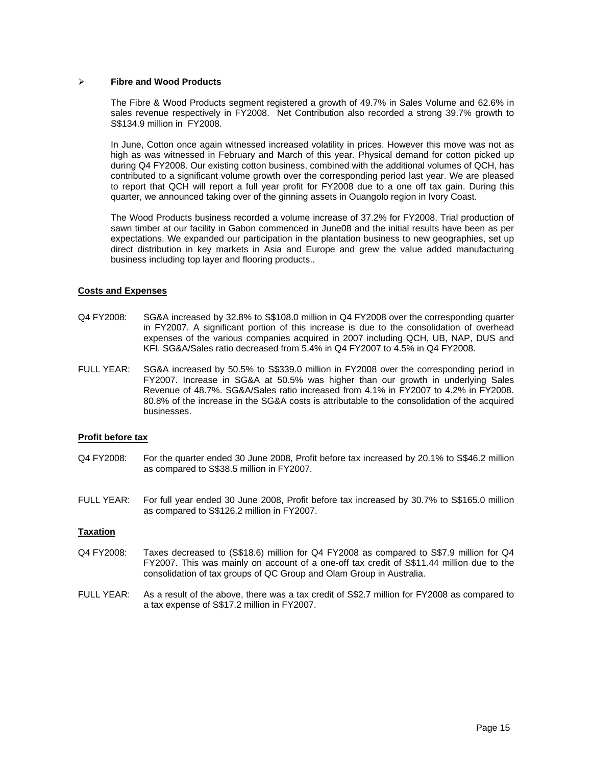#### ¾ **Fibre and Wood Products**

The Fibre & Wood Products segment registered a growth of 49.7% in Sales Volume and 62.6% in sales revenue respectively in FY2008. Net Contribution also recorded a strong 39.7% growth to S\$134.9 million in FY2008.

In June, Cotton once again witnessed increased volatility in prices. However this move was not as high as was witnessed in February and March of this year. Physical demand for cotton picked up during Q4 FY2008. Our existing cotton business, combined with the additional volumes of QCH, has contributed to a significant volume growth over the corresponding period last year. We are pleased to report that QCH will report a full year profit for FY2008 due to a one off tax gain. During this quarter, we announced taking over of the ginning assets in Ouangolo region in Ivory Coast.

The Wood Products business recorded a volume increase of 37.2% for FY2008. Trial production of sawn timber at our facility in Gabon commenced in June08 and the initial results have been as per expectations. We expanded our participation in the plantation business to new geographies, set up direct distribution in key markets in Asia and Europe and grew the value added manufacturing business including top layer and flooring products..

## **Costs and Expenses**

- Q4 FY2008: SG&A increased by 32.8% to S\$108.0 million in Q4 FY2008 over the corresponding quarter in FY2007. A significant portion of this increase is due to the consolidation of overhead expenses of the various companies acquired in 2007 including QCH, UB, NAP, DUS and KFI. SG&A/Sales ratio decreased from 5.4% in Q4 FY2007 to 4.5% in Q4 FY2008.
- FULL YEAR: SG&A increased by 50.5% to S\$339.0 million in FY2008 over the corresponding period in FY2007. Increase in SG&A at 50.5% was higher than our growth in underlying Sales Revenue of 48.7%. SG&A/Sales ratio increased from 4.1% in FY2007 to 4.2% in FY2008. 80.8% of the increase in the SG&A costs is attributable to the consolidation of the acquired businesses.

#### **Profit before tax**

- Q4 FY2008: For the quarter ended 30 June 2008, Profit before tax increased by 20.1% to S\$46.2 million as compared to S\$38.5 million in FY2007.
- FULL YEAR: For full year ended 30 June 2008, Profit before tax increased by 30.7% to S\$165.0 million as compared to S\$126.2 million in FY2007.

#### **Taxation**

- Q4 FY2008: Taxes decreased to (S\$18.6) million for Q4 FY2008 as compared to S\$7.9 million for Q4 FY2007. This was mainly on account of a one-off tax credit of S\$11.44 million due to the consolidation of tax groups of QC Group and Olam Group in Australia.
- FULL YEAR: As a result of the above, there was a tax credit of S\$2.7 million for FY2008 as compared to a tax expense of S\$17.2 million in FY2007.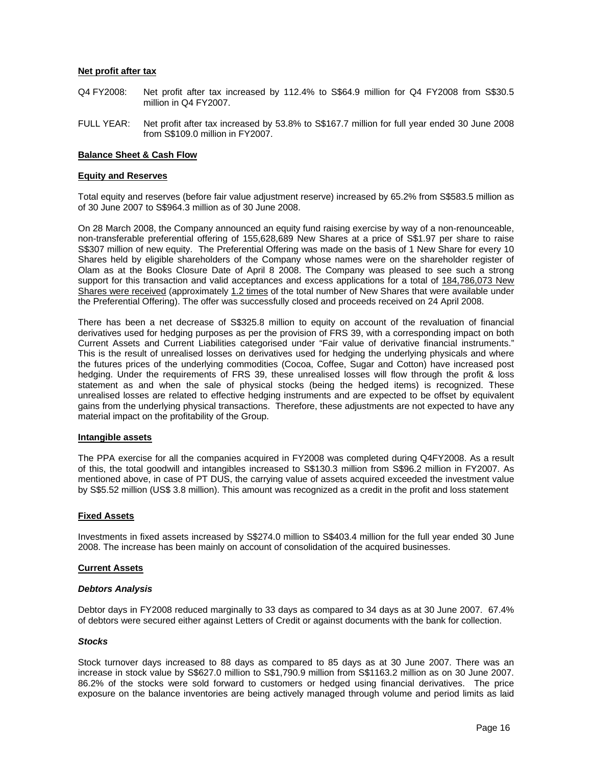### **Net profit after tax**

- Q4 FY2008: Net profit after tax increased by 112.4% to S\$64.9 million for Q4 FY2008 from S\$30.5 million in Q4 FY2007.
- FULL YEAR: Net profit after tax increased by 53.8% to S\$167.7 million for full year ended 30 June 2008 from S\$109.0 million in FY2007.

### **Balance Sheet & Cash Flow**

#### **Equity and Reserves**

Total equity and reserves (before fair value adjustment reserve) increased by 65.2% from S\$583.5 million as of 30 June 2007 to S\$964.3 million as of 30 June 2008.

On 28 March 2008, the Company announced an equity fund raising exercise by way of a non-renounceable, non-transferable preferential offering of 155,628,689 New Shares at a price of S\$1.97 per share to raise S\$307 million of new equity. The Preferential Offering was made on the basis of 1 New Share for every 10 Shares held by eligible shareholders of the Company whose names were on the shareholder register of Olam as at the Books Closure Date of April 8 2008. The Company was pleased to see such a strong support for this transaction and valid acceptances and excess applications for a total of 184,786,073 New Shares were received (approximately 1.2 times of the total number of New Shares that were available under the Preferential Offering). The offer was successfully closed and proceeds received on 24 April 2008.

There has been a net decrease of S\$325.8 million to equity on account of the revaluation of financial derivatives used for hedging purposes as per the provision of FRS 39, with a corresponding impact on both Current Assets and Current Liabilities categorised under "Fair value of derivative financial instruments." This is the result of unrealised losses on derivatives used for hedging the underlying physicals and where the futures prices of the underlying commodities (Cocoa, Coffee, Sugar and Cotton) have increased post hedging. Under the requirements of FRS 39, these unrealised losses will flow through the profit & loss statement as and when the sale of physical stocks (being the hedged items) is recognized. These unrealised losses are related to effective hedging instruments and are expected to be offset by equivalent gains from the underlying physical transactions. Therefore, these adjustments are not expected to have any material impact on the profitability of the Group.

#### **Intangible assets**

The PPA exercise for all the companies acquired in FY2008 was completed during Q4FY2008. As a result of this, the total goodwill and intangibles increased to S\$130.3 million from S\$96.2 million in FY2007. As mentioned above, in case of PT DUS, the carrying value of assets acquired exceeded the investment value by S\$5.52 million (US\$ 3.8 million). This amount was recognized as a credit in the profit and loss statement

#### **Fixed Assets**

Investments in fixed assets increased by S\$274.0 million to S\$403.4 million for the full year ended 30 June 2008. The increase has been mainly on account of consolidation of the acquired businesses.

#### **Current Assets**

#### *Debtors Analysis*

Debtor days in FY2008 reduced marginally to 33 days as compared to 34 days as at 30 June 2007. 67.4% of debtors were secured either against Letters of Credit or against documents with the bank for collection.

#### *Stocks*

Stock turnover days increased to 88 days as compared to 85 days as at 30 June 2007. There was an increase in stock value by S\$627.0 million to S\$1,790.9 million from S\$1163.2 million as on 30 June 2007. 86.2% of the stocks were sold forward to customers or hedged using financial derivatives. The price exposure on the balance inventories are being actively managed through volume and period limits as laid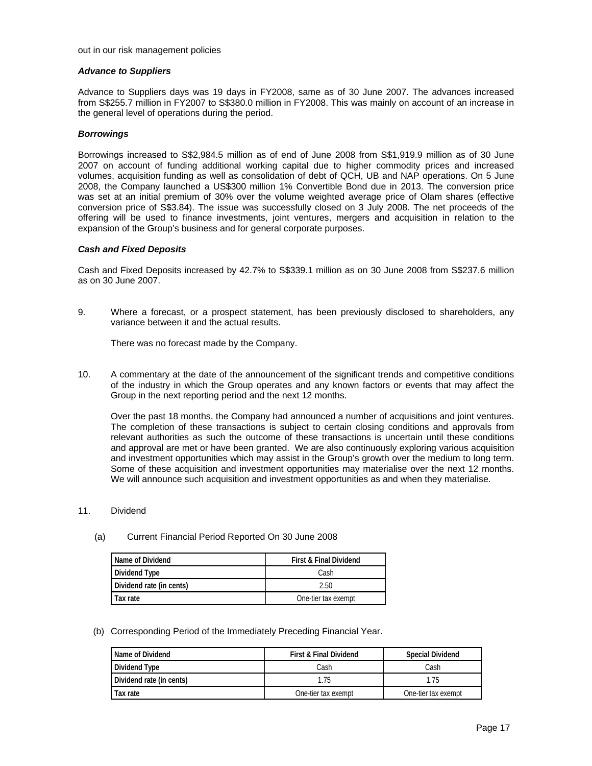#### out in our risk management policies

#### *Advance to Suppliers*

Advance to Suppliers days was 19 days in FY2008, same as of 30 June 2007. The advances increased from S\$255.7 million in FY2007 to S\$380.0 million in FY2008. This was mainly on account of an increase in the general level of operations during the period.

#### *Borrowings*

Borrowings increased to S\$2,984.5 million as of end of June 2008 from S\$1,919.9 million as of 30 June 2007 on account of funding additional working capital due to higher commodity prices and increased volumes, acquisition funding as well as consolidation of debt of QCH, UB and NAP operations. On 5 June 2008, the Company launched a US\$300 million 1% Convertible Bond due in 2013. The conversion price was set at an initial premium of 30% over the volume weighted average price of Olam shares (effective conversion price of S\$3.84). The issue was successfully closed on 3 July 2008. The net proceeds of the offering will be used to finance investments, joint ventures, mergers and acquisition in relation to the expansion of the Group's business and for general corporate purposes.

#### *Cash and Fixed Deposits*

Cash and Fixed Deposits increased by 42.7% to S\$339.1 million as on 30 June 2008 from S\$237.6 million as on 30 June 2007.

9. Where a forecast, or a prospect statement, has been previously disclosed to shareholders, any variance between it and the actual results.

There was no forecast made by the Company.

10. A commentary at the date of the announcement of the significant trends and competitive conditions of the industry in which the Group operates and any known factors or events that may affect the Group in the next reporting period and the next 12 months.

Over the past 18 months, the Company had announced a number of acquisitions and joint ventures. The completion of these transactions is subject to certain closing conditions and approvals from relevant authorities as such the outcome of these transactions is uncertain until these conditions and approval are met or have been granted. We are also continuously exploring various acquisition and investment opportunities which may assist in the Group's growth over the medium to long term. Some of these acquisition and investment opportunities may materialise over the next 12 months. We will announce such acquisition and investment opportunities as and when they materialise.

- 11. Dividend
	- (a) Current Financial Period Reported On 30 June 2008

| Name of Dividend         | <b>First &amp; Final Dividend</b> |
|--------------------------|-----------------------------------|
| Dividend Type            | Cash                              |
| Dividend rate (in cents) | 2.50                              |
| Tax rate                 | One-tier tax exempt               |

(b) Corresponding Period of the Immediately Preceding Financial Year.

| Name of Dividend         | <b>First &amp; Final Dividend</b> | <b>Special Dividend</b> |  |  |
|--------------------------|-----------------------------------|-------------------------|--|--|
| Dividend Type            | Cash                              | Cash                    |  |  |
| Dividend rate (in cents) | 1.75                              | 1.75                    |  |  |
| Tax rate                 | One-tier tax exempt               | One-tier tax exempt     |  |  |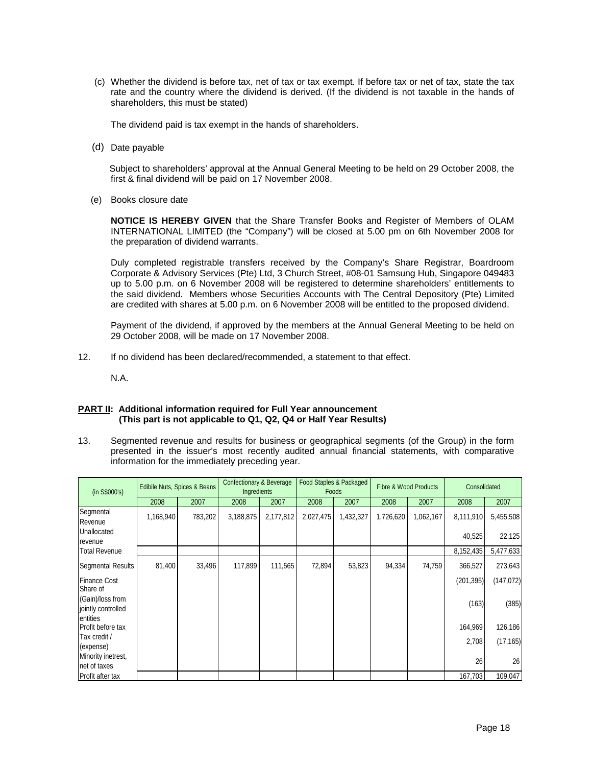(c) Whether the dividend is before tax, net of tax or tax exempt. If before tax or net of tax, state the tax rate and the country where the dividend is derived. (If the dividend is not taxable in the hands of shareholders, this must be stated)

The dividend paid is tax exempt in the hands of shareholders.

(d) Date payable

 Subject to shareholders' approval at the Annual General Meeting to be held on 29 October 2008, the first & final dividend will be paid on 17 November 2008.

(e) Books closure date

**NOTICE IS HEREBY GIVEN** that the Share Transfer Books and Register of Members of OLAM INTERNATIONAL LIMITED (the "Company") will be closed at 5.00 pm on 6th November 2008 for the preparation of dividend warrants.

Duly completed registrable transfers received by the Company's Share Registrar, Boardroom Corporate & Advisory Services (Pte) Ltd, 3 Church Street, #08-01 Samsung Hub, Singapore 049483 up to 5.00 p.m. on 6 November 2008 will be registered to determine shareholders' entitlements to the said dividend. Members whose Securities Accounts with The Central Depository (Pte) Limited are credited with shares at 5.00 p.m. on 6 November 2008 will be entitled to the proposed dividend.

Payment of the dividend, if approved by the members at the Annual General Meeting to be held on 29 October 2008, will be made on 17 November 2008.

12. If no dividend has been declared/recommended, a statement to that effect.

N.A.

## **PART II: Additional information required for Full Year announcement (This part is not applicable to Q1, Q2, Q4 or Half Year Results)**

13. Segmented revenue and results for business or geographical segments (of the Group) in the form presented in the issuer's most recently audited annual financial statements, with comparative information for the immediately preceding year.

| (in S\$000's)                          | Edibile Nuts, Spices & Beans |         | <b>Confectionary &amp; Beverage</b><br>Ingredients |           | Food Staples & Packaged<br>Foods |           | <b>Fibre &amp; Wood Products</b> |           | Consolidated |            |
|----------------------------------------|------------------------------|---------|----------------------------------------------------|-----------|----------------------------------|-----------|----------------------------------|-----------|--------------|------------|
|                                        | 2008                         | 2007    | 2008                                               | 2007      | 2008                             | 2007      | 2008                             | 2007      | 2008         | 2007       |
| Segmental<br>Revenue                   | 1,168,940                    | 783,202 | 3,188,875                                          | 2,177,812 | 2,027,475                        | 1,432,327 | 1,726,620                        | 1,062,167 | 8,111,910    | 5,455,508  |
| Unallocated<br>revenue                 |                              |         |                                                    |           |                                  |           |                                  |           | 40,525       | 22,125     |
| <b>Total Revenue</b>                   |                              |         |                                                    |           |                                  |           |                                  |           | 8,152,435    | 5,477,633  |
| <b>Segmental Results</b>               | 81,400                       | 33,496  | 117,899                                            | 111,565   | 72,894                           | 53,823    | 94,334                           | 74,759    | 366,527      | 273,643    |
| <b>Finance Cost</b><br>Share of        |                              |         |                                                    |           |                                  |           |                                  |           | (201, 395)   | (147, 072) |
| (Gain)/loss from<br>jointly controlled |                              |         |                                                    |           |                                  |           |                                  |           | (163)        | (385)      |
| entities<br>Profit before tax          |                              |         |                                                    |           |                                  |           |                                  |           | 164,969      | 126,186    |
| Tax credit /<br>(expense)              |                              |         |                                                    |           |                                  |           |                                  |           | 2,708        | (17, 165)  |
| Minority inetrest,<br>net of taxes     |                              |         |                                                    |           |                                  |           |                                  |           | 26           | 26         |
| Profit after tax                       |                              |         |                                                    |           |                                  |           |                                  |           | 167,703      | 109,047    |